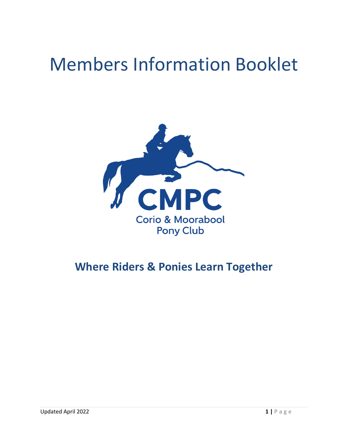# Members Information Booklet



# **Where Riders & Ponies Learn Together**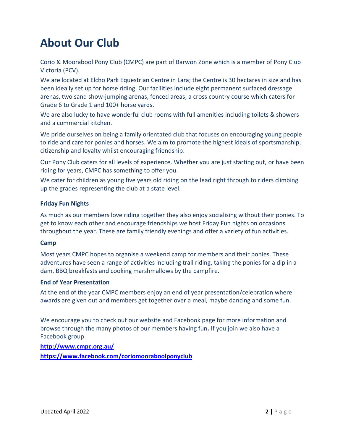# **About Our Club**

Corio & Moorabool Pony Club (CMPC) are part of Barwon Zone which is a member of Pony Club Victoria (PCV).

We are located at Elcho Park Equestrian Centre in Lara; the Centre is 30 hectares in size and has been ideally set up for horse riding. Our facilities include eight permanent surfaced dressage arenas, two sand show-jumping arenas, fenced areas, a cross country course which caters for Grade 6 to Grade 1 and 100+ horse yards.

We are also lucky to have wonderful club rooms with full amenities including toilets & showers and a commercial kitchen.

We pride ourselves on being a family orientated club that focuses on encouraging young people to ride and care for ponies and horses. We aim to promote the highest ideals of sportsmanship, citizenship and loyalty whilst encouraging friendship.

Our Pony Club caters for all levels of experience. Whether you are just starting out, or have been riding for years, CMPC has something to offer you.

We cater for children as young five years old riding on the lead right through to riders climbing up the grades representing the club at a state level.

#### **Friday Fun Nights**

As much as our members love riding together they also enjoy socialising without their ponies. To get to know each other and encourage friendships we host Friday Fun nights on occasions throughout the year. These are family friendly evenings and offer a variety of fun activities.

#### **Camp**

Most years CMPC hopes to organise a weekend camp for members and their ponies. These adventures have seen a range of activities including trail riding, taking the ponies for a dip in a dam, BBQ breakfasts and cooking marshmallows by the campfire.

#### **End of Year Presentation**

At the end of the year CMPC members enjoy an end of year presentation/celebration where awards are given out and members get together over a meal, maybe dancing and some fun.

We encourage you to check out our website and Facebook page for more information and browse through the many photos of our members having fun**.** If you join we also have a Facebook group.

**<http://www.cmpc.org.au/> <https://www.facebook.com/coriomooraboolponyclub>**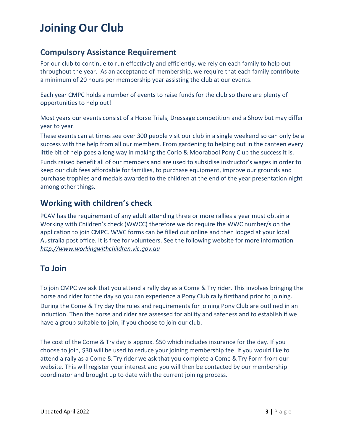# **Joining Our Club**

### **Compulsory Assistance Requirement**

For our club to continue to run effectively and efficiently, we rely on each family to help out throughout the year. As an acceptance of membership, we require that each family contribute a minimum of 20 hours per membership year assisting the club at our events.

Each year CMPC holds a number of events to raise funds for the club so there are plenty of opportunities to help out!

Most years our events consist of a Horse Trials, Dressage competition and a Show but may differ year to year.

These events can at times see over 300 people visit our club in a single weekend so can only be a success with the help from all our members. From gardening to helping out in the canteen every little bit of help goes a long way in making the Corio & Moorabool Pony Club the success it is.

Funds raised benefit all of our members and are used to subsidise instructor's wages in order to keep our club fees affordable for families, to purchase equipment, improve our grounds and purchase trophies and medals awarded to the children at the end of the year presentation night among other things.

### **Working with children's check**

PCAV has the requirement of any adult attending three or more rallies a year must obtain a Working with Children's check (WWCC) therefore we do require the WWC number/s on the application to join CMPC. WWC forms can be filled out online and then lodged at your local Australia post office. It is free for volunteers. See the following website for more information *[http://www.workingwithchildren.vic.gov.au](http://www.workingwithchildren.vic.gov.au/)*

### **To Join**

To join CMPC we ask that you attend a rally day as a Come & Try rider. This involves bringing the horse and rider for the day so you can experience a Pony Club rally firsthand prior to joining.

During the Come & Try day the rules and requirements for joining Pony Club are outlined in an induction. Then the horse and rider are assessed for ability and safeness and to establish if we have a group suitable to join, if you choose to join our club.

The cost of the Come & Try day is approx. \$50 which includes insurance for the day. If you choose to join, \$30 will be used to reduce your joining membership fee. If you would like to attend a rally as a Come & Try rider we ask that you complete a Come & Try Form from our website. This will register your interest and you will then be contacted by our membership coordinator and brought up to date with the current joining process.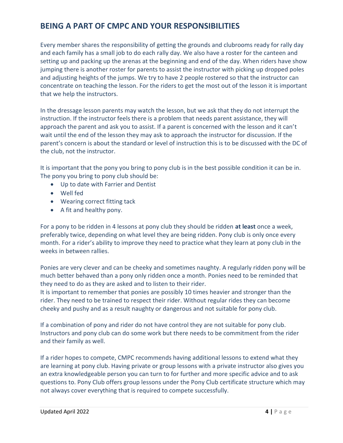### **BEING A PART OF CMPC AND YOUR RESPONSIBILITIES**

Every member shares the responsibility of getting the grounds and clubrooms ready for rally day and each family has a small job to do each rally day. We also have a roster for the canteen and setting up and packing up the arenas at the beginning and end of the day. When riders have show jumping there is another roster for parents to assist the instructor with picking up dropped poles and adjusting heights of the jumps. We try to have 2 people rostered so that the instructor can concentrate on teaching the lesson. For the riders to get the most out of the lesson it is important that we help the instructors.

In the dressage lesson parents may watch the lesson, but we ask that they do not interrupt the instruction. If the instructor feels there is a problem that needs parent assistance, they will approach the parent and ask you to assist. If a parent is concerned with the lesson and it can't wait until the end of the lesson they may ask to approach the instructor for discussion. If the parent's concern is about the standard or level of instruction this is to be discussed with the DC of the club, not the instructor.

It is important that the pony you bring to pony club is in the best possible condition it can be in. The pony you bring to pony club should be:

- Up to date with Farrier and Dentist
- Well fed
- Wearing correct fitting tack
- A fit and healthy pony.

For a pony to be ridden in 4 lessons at pony club they should be ridden **at least** once a week, preferably twice, depending on what level they are being ridden. Pony club is only once every month. For a rider's ability to improve they need to practice what they learn at pony club in the weeks in between rallies.

Ponies are very clever and can be cheeky and sometimes naughty. A regularly ridden pony will be much better behaved than a pony only ridden once a month. Ponies need to be reminded that they need to do as they are asked and to listen to their rider.

It is important to remember that ponies are possibly 10 times heavier and stronger than the rider. They need to be trained to respect their rider. Without regular rides they can become cheeky and pushy and as a result naughty or dangerous and not suitable for pony club.

If a combination of pony and rider do not have control they are not suitable for pony club. Instructors and pony club can do some work but there needs to be commitment from the rider and their family as well.

If a rider hopes to compete, CMPC recommends having additional lessons to extend what they are learning at pony club. Having private or group lessons with a private instructor also gives you an extra knowledgeable person you can turn to for further and more specific advice and to ask questions to. Pony Club offers group lessons under the Pony Club certificate structure which may not always cover everything that is required to compete successfully.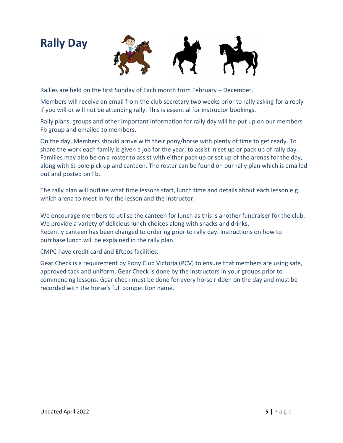# **Rally Day**



Rallies are held on the first Sunday of Each month from February – December.

Members will receive an email from the club secretary two weeks prior to rally asking for a reply if you will or will not be attending rally. This is essential for instructor bookings.

Rally plans, groups and other important information for rally day will be put up on our members Fb group and emailed to members.

On the day, Members should arrive with their pony/horse with plenty of time to get ready. To share the work each family is given a job for the year, to assist in set up or pack up of rally day. Families may also be on a roster to assist with either pack up or set up of the arenas for the day, along with SJ pole pick up and canteen. The roster can be found on our rally plan which is emailed out and posted on Fb.

The rally plan will outline what time lessons start, lunch time and details about each lesson e.g. which arena to meet in for the lesson and the instructor.

We encourage members to utilise the canteen for lunch as this is another fundraiser for the club. We provide a variety of delicious lunch choices along with snacks and drinks. Recently canteen has been changed to ordering prior to rally day. Instructions on how to purchase lunch will be explained in the rally plan.

CMPC have credit card and Eftpos facilities.

Gear Check is a requirement by Pony Club Victoria (PCV) to ensure that members are using safe, approved tack and uniform. Gear Check is done by the instructors in your groups prior to commencing lessons. Gear check must be done for every horse ridden on the day and must be recorded with the horse's full competition name.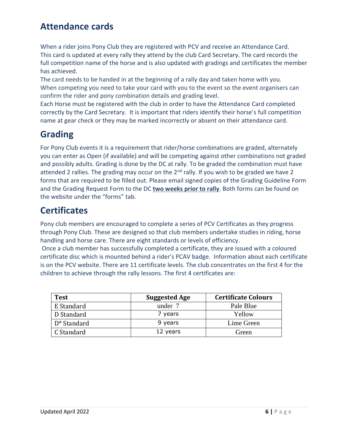# **Attendance cards**

When a rider joins Pony Club they are registered with PCV and receive an Attendance Card. This card is updated at every rally they attend by the club Card Secretary. The card records the full competition name of the horse and is also updated with gradings and certificates the member has achieved.

The card needs to be handed in at the beginning of a rally day and taken home with you. When competing you need to take your card with you to the event so the event organisers can confirm the rider and pony combination details and grading level.

Each Horse must be registered with the club in order to have the Attendance Card completed correctly by the Card Secretary. It is important that riders identify their horse's full competition name at gear check or they may be marked incorrectly or absent on their attendance card.

# **Grading**

For Pony Club events it is a requirement that rider/horse combinations are graded, alternately you can enter as Open (if available) and will be competing against other combinations not graded and possibly adults. Grading is done by the DC at rally. To be graded the combination must have attended 2 rallies. The grading may occur on the  $2<sup>nd</sup>$  rally. If you wish to be graded we have 2 forms that are required to be filled out. Please email signed copies of the Grading Guideline Form and the Grading Request Form to the DC **two weeks prior to rally**. Both forms can be found on the website under the "forms" tab.

### **Certificates**

Pony club members are encouraged to complete a series of PCV Certificates as they progress through Pony Club. These are designed so that club members undertake studies in riding, horse handling and horse care. There are eight standards or levels of efficiency.

Once a club member has successfully completed a certificate, they are issued with a coloured certificate disc which is mounted behind a rider's PCAV badge. Information about each certificate is on the PCV website. There are 11 certificate levels. The club concentrates on the first 4 for the children to achieve through the rally lessons. The first 4 certificates are:

| <b>Test</b> | <b>Suggested Age</b> | <b>Certificate Colours</b> |
|-------------|----------------------|----------------------------|
| E Standard  | under 7              | Pale Blue                  |
| D Standard  | 7 years              | Yellow                     |
| D* Standard | 9 years              | Lime Green                 |
| C Standard  | 12 years             | Green                      |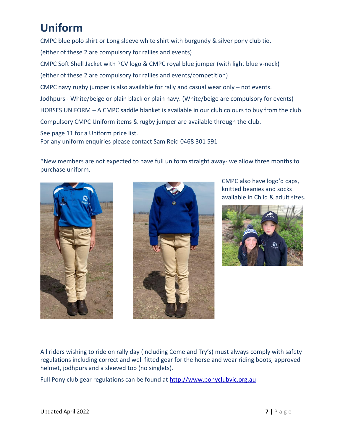# **Uniform**

CMPC blue polo shirt or Long sleeve white shirt with burgundy & silver pony club tie. (either of these 2 are compulsory for rallies and events) CMPC Soft Shell Jacket with PCV logo & CMPC royal blue jumper (with light blue v-neck) (either of these 2 are compulsory for rallies and events/competition) CMPC navy rugby jumper is also available for rally and casual wear only – not events. Jodhpurs - White/beige or plain black or plain navy. (White/beige are compulsory for events) HORSES UNIFORM – A CMPC saddle blanket is available in our club colours to buy from the club. Compulsory CMPC Uniform items & rugby jumper are available through the club. See page 11 for a Uniform price list.

For any uniform enquiries please contact Sam Reid 0468 301 591

\*New members are not expected to have full uniform straight away- we allow three months to purchase uniform.





CMPC also have logo'd caps, knitted beanies and socks available in Child & adult sizes.



All riders wishing to ride on rally day (including Come and Try's) must always comply with safety regulations including correct and well fitted gear for the horse and wear riding boots, approved helmet, jodhpurs and a sleeved top (no singlets).

Full Pony club gear regulations can be found at [http://www.ponyclubvic.org.au](http://www.ponyclubvic.org.au/)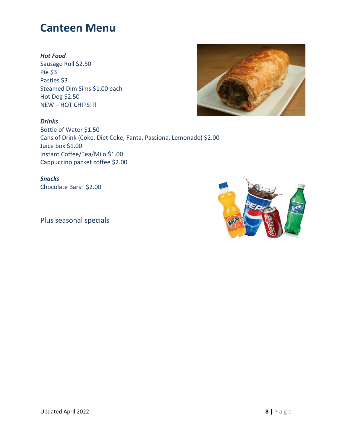# **Canteen Menu**

#### *Hot Food*

Sausage Roll \$2.50 Pie \$3 Pasties \$3 Steamed Dim Sims \$1.00 each Hot Dog \$2.50 NEW – HOT CHIPS!!!



*Drinks* Bottle of Water \$1.50 Cans of Drink (Coke, Diet Coke, Fanta, Passiona, Lemonade) \$2.00 Juice box \$1.00 Instant Coffee/Tea/Milo \$1.00 Cappuccino packet coffee \$2.00

*Snacks* Chocolate Bars: \$2.00

Plus seasonal specials

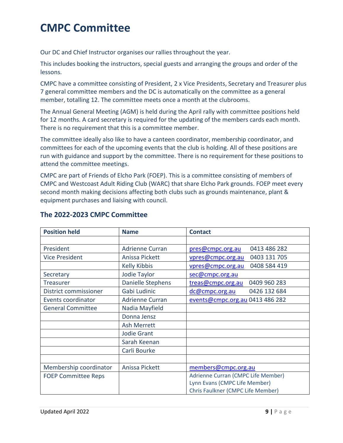# **CMPC Committee**

Our DC and Chief Instructor organises our rallies throughout the year.

This includes booking the instructors, special guests and arranging the groups and order of the lessons.

CMPC have a committee consisting of President, 2 x Vice Presidents, Secretary and Treasurer plus 7 general committee members and the DC is automatically on the committee as a general member, totalling 12. The committee meets once a month at the clubrooms.

The Annual General Meeting (AGM) is held during the April rally with committee positions held for 12 months. A card secretary is required for the updating of the members cards each month. There is no requirement that this is a committee member.

The committee ideally also like to have a canteen coordinator, membership coordinator, and committees for each of the upcoming events that the club is holding. All of these positions are run with guidance and support by the committee. There is no requirement for these positions to attend the committee meetings.

CMPC are part of Friends of Elcho Park (FOEP). This is a committee consisting of members of CMPC and Westcoast Adult Riding Club (WARC) that share Elcho Park grounds. FOEP meet every second month making decisions affecting both clubs such as grounds maintenance, plant & equipment purchases and liaising with council.

| <b>Position held</b>       | <b>Name</b>              | <b>Contact</b>                     |
|----------------------------|--------------------------|------------------------------------|
|                            |                          |                                    |
| President                  | <b>Adrienne Curran</b>   | 0413 486 282<br>pres@cmpc.org.au   |
| <b>Vice President</b>      | Anissa Pickett           | 0403 131 705<br>vpres@cmpc.org.au  |
|                            | <b>Kelly Kibbis</b>      | 0408 584 419<br>vpres@cmpc.org.au  |
| Secretary                  | Jodie Taylor             | sec@cmpc.org.au                    |
| <b>Treasurer</b>           | <b>Danielle Stephens</b> | treas@cmpc.org.au<br>0409 960 283  |
| District commissioner      | Gabi Ludinic             | dc@cmpc.org.au<br>0426 132 684     |
| Events coordinator         | <b>Adrienne Curran</b>   | events@cmpc.org.au 0413 486 282    |
| <b>General Committee</b>   | Nadia Mayfield           |                                    |
|                            | Donna Jensz              |                                    |
|                            | <b>Ash Merrett</b>       |                                    |
|                            | <b>Jodie Grant</b>       |                                    |
|                            | Sarah Keenan             |                                    |
|                            | Carli Bourke             |                                    |
|                            |                          |                                    |
| Membership coordinator     | Anissa Pickett           | members@cmpc.org.au                |
| <b>FOEP Committee Reps</b> |                          | Adrienne Curran (CMPC Life Member) |
|                            |                          | Lynn Evans (CMPC Life Member)      |
|                            |                          | Chris Faulkner (CMPC Life Member)  |

#### **The 2022-2023 CMPC Committee**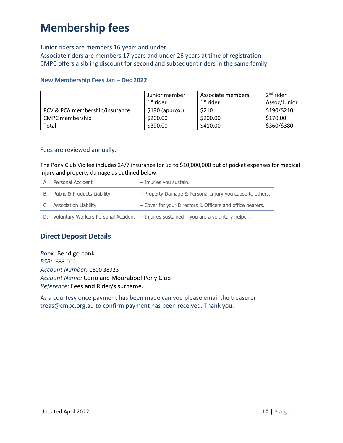# **Membership fees**

Junior riders are members 16 years and under. Associate riders are members 17 years and under 26 years at time of registration. CMPC offers a sibling discount for second and subsequent riders in the same family.

#### **New Membership Fees Jan – Dec 2022**

|                                | Junior member<br>1 <sup>st</sup> rider | Associate members<br>$1st$ rider | 2 <sup>nd</sup> rider<br>Assoc/Junior |
|--------------------------------|----------------------------------------|----------------------------------|---------------------------------------|
| PCV & PCA membership/insurance | $$190$ (approx.)                       | \$210                            | \$190/\$210                           |
| CMPC membership                | \$200.00                               | \$200.00                         | \$170.00                              |
| Total                          | \$390.00                               | \$410.00                         | \$360/\$380                           |

#### Fees are reviewed annually.

The Pony Club Vic fee includes 24/7 insurance for up to \$10,000,000 out of pocket expenses for medical injury and property damage as outlined below:

| A. | Personal Accident                     | - Injuries you sustain.                                   |
|----|---------------------------------------|-----------------------------------------------------------|
|    | <b>B.</b> Public & Products Liability | - Property Damage & Personal Injury you cause to others.  |
|    | C. Association Liability              | - Cover for your Directors & Officers and office bearers. |
|    |                                       |                                                           |

D. Voluntary Workers Personal Accident – Injuries sustained if you are a voluntary helper.

#### **Direct Deposit Details**

*Bank:* Bendigo bank *BSB:* 633 000 *Account Number:* 1600 38923 *Account Name:* Corio and Moorabool Pony Club *Reference:* Fees and Rider/s surname.

As a courtesy once payment has been made can you please email the treasurer [treas@cmpc.org.au](mailto:treas@cmpc.org.au) to confirm payment has been received. Thank you.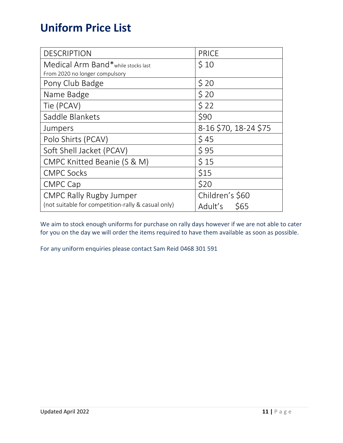# **Uniform Price List**

| <b>DESCRIPTION</b>                                 | <b>PRICE</b>          |  |
|----------------------------------------------------|-----------------------|--|
| Medical Arm Band*while stocks last                 | \$10                  |  |
| From 2020 no longer compulsory                     |                       |  |
| Pony Club Badge                                    | \$20                  |  |
| Name Badge                                         | \$20                  |  |
| Tie (PCAV)                                         | \$22                  |  |
| Saddle Blankets                                    | \$90                  |  |
| Jumpers                                            | 8-16 \$70, 18-24 \$75 |  |
| Polo Shirts (PCAV)                                 | \$45                  |  |
| Soft Shell Jacket (PCAV)                           | \$95                  |  |
| CMPC Knitted Beanie (S & M)                        | \$15                  |  |
| <b>CMPC Socks</b>                                  | \$15                  |  |
| <b>CMPC Cap</b>                                    | \$20                  |  |
| <b>CMPC Rally Rugby Jumper</b>                     | Children's \$60       |  |
| (not suitable for competition-rally & casual only) | Adult's<br><b>S65</b> |  |

We aim to stock enough uniforms for purchase on rally days however if we are not able to cater for you on the day we will order the items required to have them available as soon as possible.

For any uniform enquiries please contact Sam Reid 0468 301 591